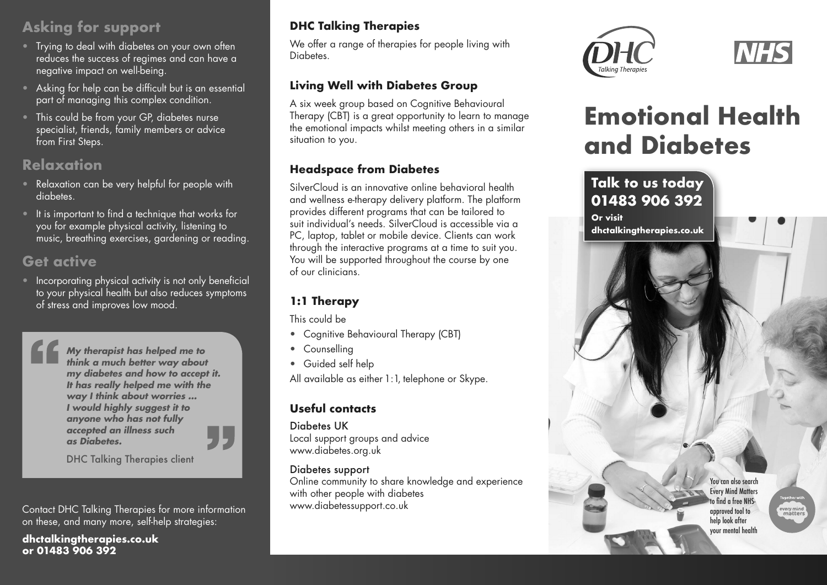# **Asking for support**

- Trying to deal with diabetes on your own often reduces the success of regimes and can have a negative impact on well-being.
- Asking for help can be difficult but is an essential part of managing this complex condition.
- This could be from your GP, diabetes nurse specialist, friends, family members or advice from First Steps.

# **Relaxation**

- Relaxation can be very helpful for people with diabetes.
- It is important to find a technique that works for you for example physical activity, listening to music, breathing exercises, gardening or reading.

# **Get active**

• Incorporating physical activity is not only beneficial to your physical health but also reduces symptoms of stress and improves low mood.

> **My therapist has helped me to think a much better way about my diabetes and how to accept it. It has really helped me with the way I think about worries ... I would highly suggest it to anyone who has not fully accepted an illness such as Diabetes.**



DHC Talking Therapies client

Contact DHC Talking Therapies for more information on these, and many more, self-help strategies:

**dhctalkingtherapies.co.uk or 01483 906 392**

### **DHC Talking Therapies**

We offer a range of therapies for people living with Diabetes.

#### **Living Well with Diabetes Group**

A six week group based on Cognitive Behavioural Therapy (CBT) is a great opportunity to learn to manage the emotional impacts whilst meeting others in a similar situation to you.

#### **Headspace from Diabetes**

SilverCloud is an innovative online behavioral health and wellness e-therapy delivery platform. The platform provides different programs that can be tailored to suit individual's needs. SilverCloud is accessible via a PC, laptop, tablet or mobile device. Clients can work through the interactive programs at a time to suit you. You will be supported throughout the course by one of our clinicians.

## **1:1 Therapy**

This could be

- Cognitive Behavioural Therapy (CBT)
- Counselling
- Guided self help

All available as either 1:1, telephone or Skype.

#### **Useful contacts**

Diabetes UK Local support groups and advice www.diabetes.org.uk

#### Diabetes support

Online community to share knowledge and experience with other people with diabetes www.diabetessupport.co.uk





# **Emotional Health and Diabetes**



every mind<br>matters